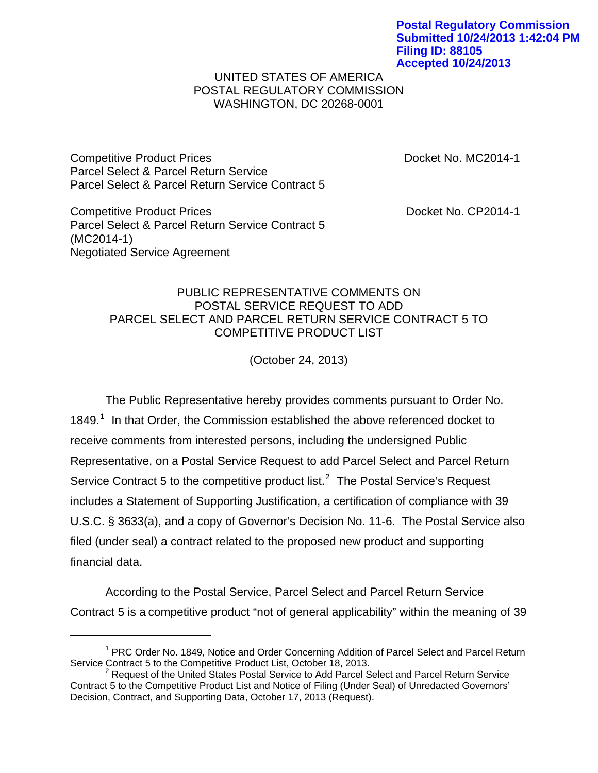**Postal Regulatory Commission Submitted 10/24/2013 1:42:04 PM Filing ID: 88105 Accepted 10/24/2013**

## UNITED STATES OF AMERICA POSTAL REGULATORY COMMISSION WASHINGTON, DC 20268-0001

Competitive Product Prices **Docket No. MC2014-1** Parcel Select & Parcel Return Service Parcel Select & Parcel Return Service Contract 5

Competitive Product Prices **Docket No. CP2014-1** Parcel Select & Parcel Return Service Contract 5 (MC2014-1) Negotiated Service Agreement

## PUBLIC REPRESENTATIVE COMMENTS ON POSTAL SERVICE REQUEST TO ADD PARCEL SELECT AND PARCEL RETURN SERVICE CONTRACT 5 TO COMPETITIVE PRODUCT LIST

(October 24, 2013)

 The Public Representative hereby provides comments pursuant to Order No. [1](#page-0-0)849. $<sup>1</sup>$  In that Order, the Commission established the above referenced docket to</sup> receive comments from interested persons, including the undersigned Public Representative, on a Postal Service Request to add Parcel Select and Parcel Return Service Contract 5 to the competitive product list.<sup>[2](#page-0-1)</sup> The Postal Service's Request includes a Statement of Supporting Justification, a certification of compliance with 39 U.S.C. § 3633(a), and a copy of Governor's Decision No. 11-6. The Postal Service also filed (under seal) a contract related to the proposed new product and supporting financial data.

According to the Postal Service, Parcel Select and Parcel Return Service Contract 5 is a competitive product "not of general applicability" within the meaning of 39

<span id="page-0-0"></span><sup>&</sup>lt;sup>1</sup> PRC Order No. 1849, Notice and Order Concerning Addition of Parcel Select and Parcel Return Service Contract 5 to the Competitive Product List, October 18, 2013.

<span id="page-0-1"></span><sup>&</sup>lt;sup>2</sup> Request of the United States Postal Service to Add Parcel Select and Parcel Return Service Contract 5 to the Competitive Product List and Notice of Filing (Under Seal) of Unredacted Governors' Decision, Contract, and Supporting Data, October 17, 2013 (Request).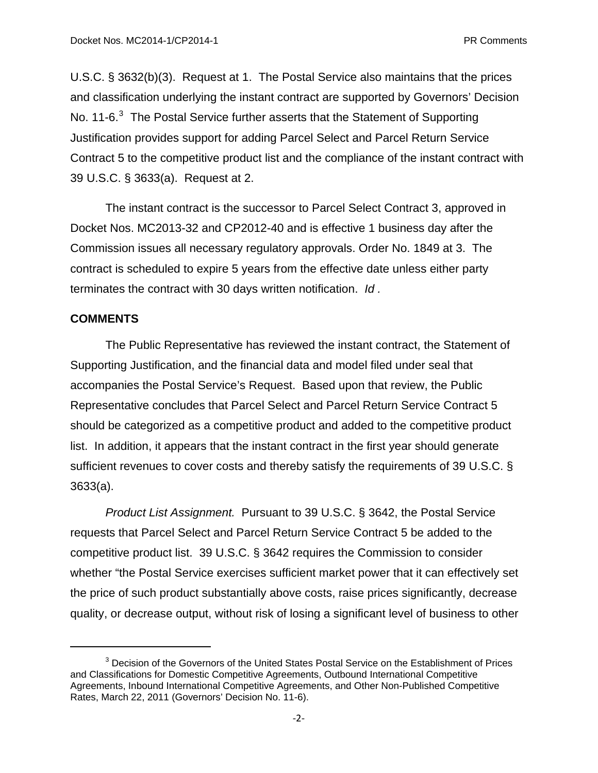U.S.C. § 3632(b)(3). Request at 1. The Postal Service also maintains that the prices and classification underlying the instant contract are supported by Governors' Decision No. 11-6. $3$  The Postal Service further asserts that the Statement of Supporting Justification provides support for adding Parcel Select and Parcel Return Service Contract 5 to the competitive product list and the compliance of the instant contract with 39 U.S.C. § 3633(a). Request at 2.

The instant contract is the successor to Parcel Select Contract 3, approved in Docket Nos. MC2013-32 and CP2012-40 and is effective 1 business day after the Commission issues all necessary regulatory approvals. Order No. 1849 at 3. The contract is scheduled to expire 5 years from the effective date unless either party terminates the contract with 30 days written notification. *Id .* 

## **COMMENTS**

The Public Representative has reviewed the instant contract, the Statement of Supporting Justification, and the financial data and model filed under seal that accompanies the Postal Service's Request. Based upon that review, the Public Representative concludes that Parcel Select and Parcel Return Service Contract 5 should be categorized as a competitive product and added to the competitive product list. In addition, it appears that the instant contract in the first year should generate sufficient revenues to cover costs and thereby satisfy the requirements of 39 U.S.C. § 3633(a).

*Product List Assignment.* Pursuant to 39 U.S.C. § 3642, the Postal Service requests that Parcel Select and Parcel Return Service Contract 5 be added to the competitive product list. 39 U.S.C. § 3642 requires the Commission to consider whether "the Postal Service exercises sufficient market power that it can effectively set the price of such product substantially above costs, raise prices significantly, decrease quality, or decrease output, without risk of losing a significant level of business to other

<span id="page-1-0"></span> $3$  Decision of the Governors of the United States Postal Service on the Establishment of Prices and Classifications for Domestic Competitive Agreements, Outbound International Competitive Agreements, Inbound International Competitive Agreements, and Other Non-Published Competitive Rates, March 22, 2011 (Governors' Decision No. 11-6).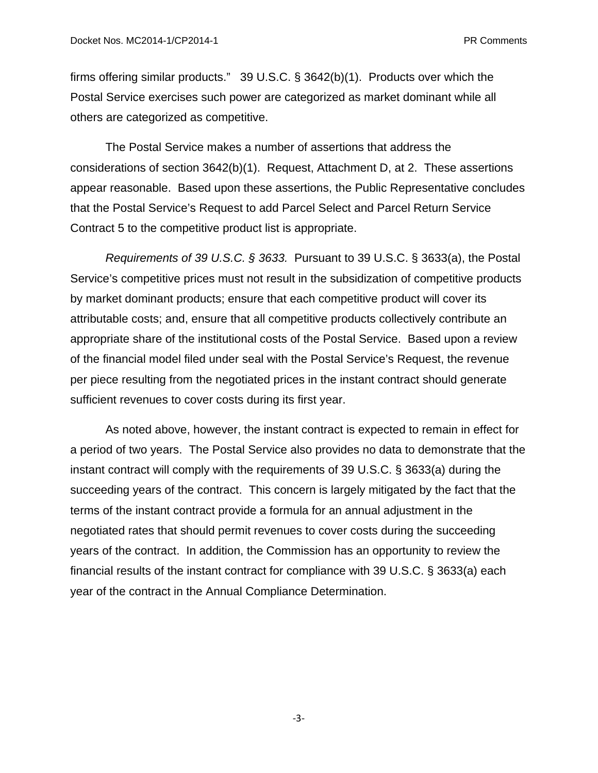firms offering similar products." 39 U.S.C. § 3642(b)(1). Products over which the Postal Service exercises such power are categorized as market dominant while all others are categorized as competitive.

The Postal Service makes a number of assertions that address the considerations of section 3642(b)(1). Request, Attachment D, at 2. These assertions appear reasonable. Based upon these assertions, the Public Representative concludes that the Postal Service's Request to add Parcel Select and Parcel Return Service Contract 5 to the competitive product list is appropriate.

*Requirements of 39 U.S.C. § 3633.* Pursuant to 39 U.S.C. § 3633(a), the Postal Service's competitive prices must not result in the subsidization of competitive products by market dominant products; ensure that each competitive product will cover its attributable costs; and, ensure that all competitive products collectively contribute an appropriate share of the institutional costs of the Postal Service. Based upon a review of the financial model filed under seal with the Postal Service's Request, the revenue per piece resulting from the negotiated prices in the instant contract should generate sufficient revenues to cover costs during its first year.

As noted above, however, the instant contract is expected to remain in effect for a period of two years. The Postal Service also provides no data to demonstrate that the instant contract will comply with the requirements of 39 U.S.C. § 3633(a) during the succeeding years of the contract. This concern is largely mitigated by the fact that the terms of the instant contract provide a formula for an annual adjustment in the negotiated rates that should permit revenues to cover costs during the succeeding years of the contract. In addition, the Commission has an opportunity to review the financial results of the instant contract for compliance with 39 U.S.C. § 3633(a) each year of the contract in the Annual Compliance Determination.

‐3‐